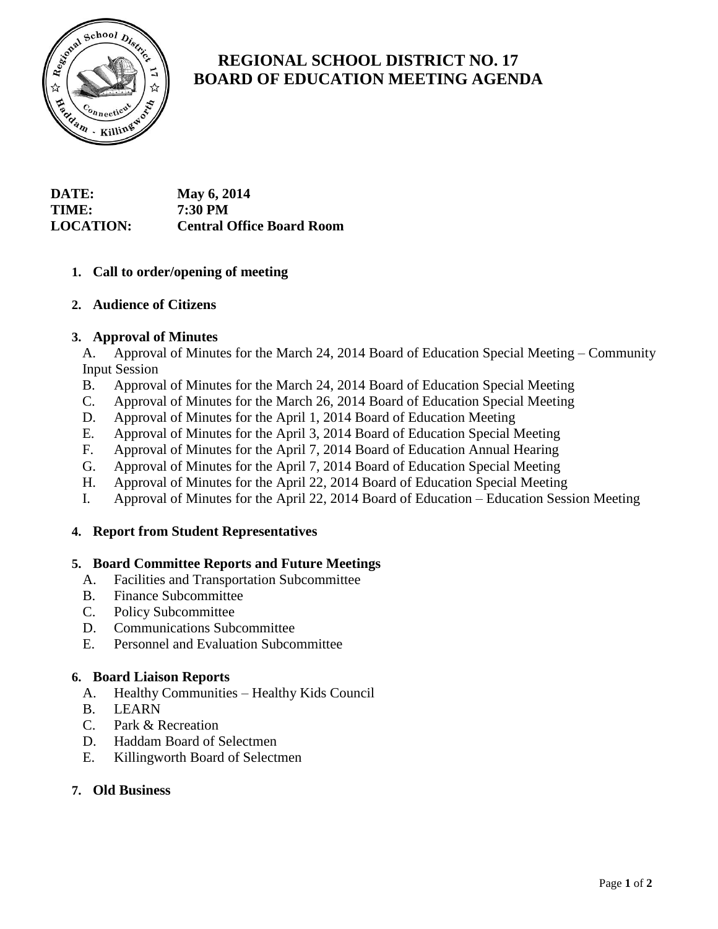

# **REGIONAL SCHOOL DISTRICT NO. 17 BOARD OF EDUCATION MEETING AGENDA**

| <b>DATE:</b>     | May 6, 2014                      |
|------------------|----------------------------------|
| <b>TIME:</b>     | <b>7:30 PM</b>                   |
| <b>LOCATION:</b> | <b>Central Office Board Room</b> |

## **1. Call to order/opening of meeting**

## **2. Audience of Citizens**

## **3. Approval of Minutes**

A. Approval of Minutes for the March 24, 2014 Board of Education Special Meeting – Community Input Session

- B. Approval of Minutes for the March 24, 2014 Board of Education Special Meeting
- C. Approval of Minutes for the March 26, 2014 Board of Education Special Meeting
- D. Approval of Minutes for the April 1, 2014 Board of Education Meeting
- E. Approval of Minutes for the April 3, 2014 Board of Education Special Meeting
- F. Approval of Minutes for the April 7, 2014 Board of Education Annual Hearing
- G. Approval of Minutes for the April 7, 2014 Board of Education Special Meeting
- H. Approval of Minutes for the April 22, 2014 Board of Education Special Meeting
- I. Approval of Minutes for the April 22, 2014 Board of Education Education Session Meeting

## **4. Report from Student Representatives**

## **5. Board Committee Reports and Future Meetings**

- A. Facilities and Transportation Subcommittee
- B. Finance Subcommittee
- C. Policy Subcommittee
- D. Communications Subcommittee
- E. Personnel and Evaluation Subcommittee

## **6. Board Liaison Reports**

- A. Healthy Communities Healthy Kids Council
- B. LEARN
- C. Park & Recreation
- D. Haddam Board of Selectmen
- E. Killingworth Board of Selectmen

## **7. Old Business**